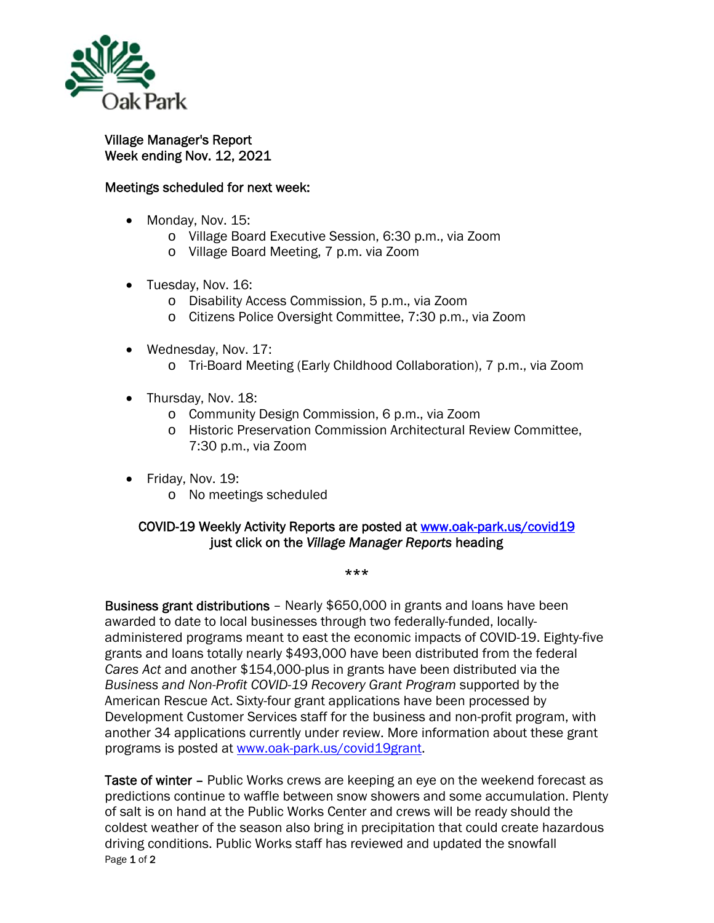

## Village Manager's Report Week ending Nov. 12, 2021

## Meetings scheduled for next week:

- Monday, Nov. 15:
	- o Village Board Executive Session, 6:30 p.m., via Zoom
	- o Village Board Meeting, 7 p.m. via Zoom
- Tuesday, Nov. 16:
	- o Disability Access Commission, 5 p.m., via Zoom
	- o Citizens Police Oversight Committee, 7:30 p.m., via Zoom
- Wednesday, Nov. 17:
	- o Tri-Board Meeting (Early Childhood Collaboration), 7 p.m., via Zoom
- Thursday, Nov. 18:
	- o Community Design Commission, 6 p.m., via Zoom
	- o Historic Preservation Commission Architectural Review Committee, 7:30 p.m., via Zoom
- Friday, Nov. 19:
	- o No meetings scheduled

## COVID-19 Weekly Activity Reports are posted at www.oak-park.us/covid19 just click on the *Village Manager Reports* heading

## \*\*\*

Business grant distributions – Nearly \$650,000 in grants and loans have been awarded to date to local businesses through two federally-funded, locallyadministered programs meant to east the economic impacts of COVID-19. Eighty-five grants and loans totally nearly \$493,000 have been distributed from the federal *Cares Act* and another \$154,000-plus in grants have been distributed via the *Business and Non-Profit COVID-19 Recovery Grant Program* supported by the American Rescue Act. Sixty-four grant applications have been processed by Development Customer Services staff for the business and non-profit program, with another 34 applications currently under review. More information about these grant programs is posted at www.oak-park.us/covid19grant.

Page 1 of 2 Taste of winter – Public Works crews are keeping an eye on the weekend forecast as predictions continue to waffle between snow showers and some accumulation. Plenty of salt is on hand at the Public Works Center and crews will be ready should the coldest weather of the season also bring in precipitation that could create hazardous driving conditions. Public Works staff has reviewed and updated the snowfall